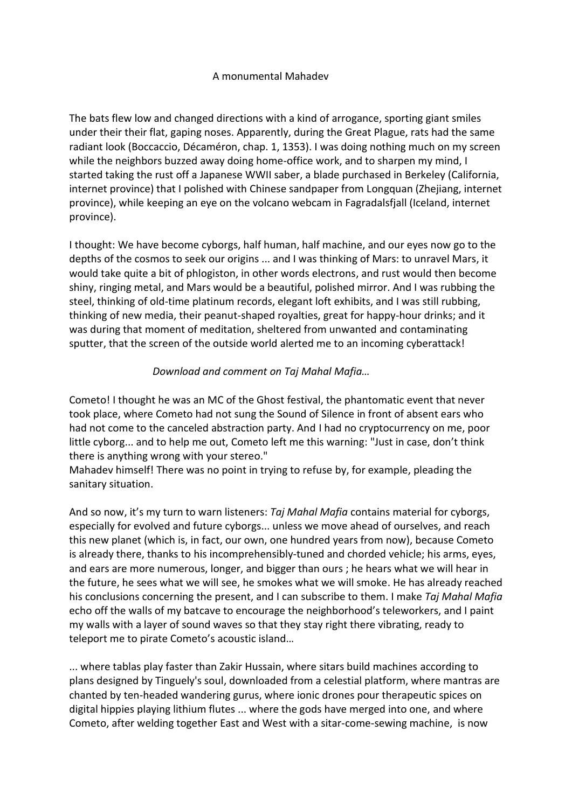## A monumental Mahadev

The bats flew low and changed directions with a kind of arrogance, sporting giant smiles under their their flat, gaping noses. Apparently, during the Great Plague, rats had the same radiant look (Boccaccio, Décaméron, chap. 1, 1353). I was doing nothing much on my screen while the neighbors buzzed away doing home-office work, and to sharpen my mind, I started taking the rust off a Japanese WWII saber, a blade purchased in Berkeley (California, internet province) that I polished with Chinese sandpaper from Longquan (Zhejiang, internet province), while keeping an eye on the volcano webcam in Fagradalsfjall (Iceland, internet province).

I thought: We have become cyborgs, half human, half machine, and our eyes now go to the depths of the cosmos to seek our origins ... and I was thinking of Mars: to unravel Mars, it would take quite a bit of phlogiston, in other words electrons, and rust would then become shiny, ringing metal, and Mars would be a beautiful, polished mirror. And I was rubbing the steel, thinking of old-time platinum records, elegant loft exhibits, and I was still rubbing, thinking of new media, their peanut-shaped royalties, great for happy-hour drinks; and it was during that moment of meditation, sheltered from unwanted and contaminating sputter, that the screen of the outside world alerted me to an incoming cyberattack!

## *Download and comment on Taj Mahal Mafia…*

Cometo! I thought he was an MC of the Ghost festival, the phantomatic event that never took place, where Cometo had not sung the Sound of Silence in front of absent ears who had not come to the canceled abstraction party. And I had no cryptocurrency on me, poor little cyborg... and to help me out, Cometo left me this warning: "Just in case, don't think there is anything wrong with your stereo."

Mahadev himself! There was no point in trying to refuse by, for example, pleading the sanitary situation.

And so now, it's my turn to warn listeners: *Taj Mahal Mafia* contains material for cyborgs, especially for evolved and future cyborgs... unless we move ahead of ourselves, and reach this new planet (which is, in fact, our own, one hundred years from now), because Cometo is already there, thanks to his incomprehensibly-tuned and chorded vehicle; his arms, eyes, and ears are more numerous, longer, and bigger than ours ; he hears what we will hear in the future, he sees what we will see, he smokes what we will smoke. He has already reached his conclusions concerning the present, and I can subscribe to them. I make *Taj Mahal Mafia* echo off the walls of my batcave to encourage the neighborhood's teleworkers, and I paint my walls with a layer of sound waves so that they stay right there vibrating, ready to teleport me to pirate Cometo's acoustic island…

... where tablas play faster than Zakir Hussain, where sitars build machines according to plans designed by Tinguely's soul, downloaded from a celestial platform, where mantras are chanted by ten-headed wandering gurus, where ionic drones pour therapeutic spices on digital hippies playing lithium flutes ... where the gods have merged into one, and where Cometo, after welding together East and West with a sitar-come-sewing machine, is now